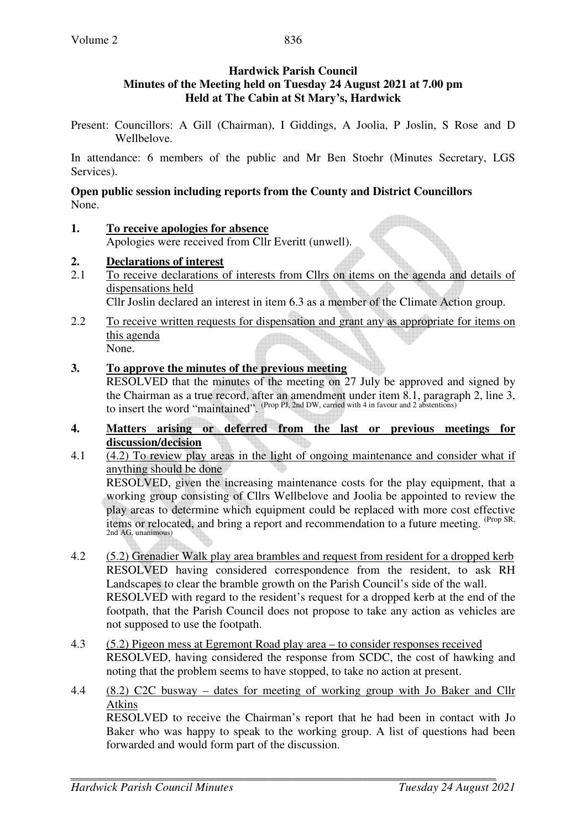## **Hardwick Parish Council Minutes of the Meeting held on Tuesday 24 August 2021 at 7.00 pm Held at The Cabin at St Mary's, Hardwick**

Present: Councillors: A Gill (Chairman), I Giddings, A Joolia, P Joslin, S Rose and D Wellbelove.

In attendance: 6 members of the public and Mr Ben Stoehr (Minutes Secretary, LGS Services).

**Open public session including reports from the County and District Councillors**  None.

- **1. To receive apologies for absence** Apologies were received from Cllr Everitt (unwell).
- **2. Declarations of interest**
- 2.1 To receive declarations of interests from Cllrs on items on the agenda and details of dispensations held Cllr Joslin declared an interest in item 6.3 as a member of the Climate Action group.
- 2.2 To receive written requests for dispensation and grant any as appropriate for items on this agenda None.
- **3. To approve the minutes of the previous meeting**  RESOLVED that the minutes of the meeting on 27 July be approved and signed by the Chairman as a true record, after an amendment under item 8.1, paragraph 2, line 3, to insert the word "maintained".  $(Prop \, PI, 2nd \, DW, \, carried \, with \, 4 \, in \, favour \, and \, 2 \, abstentions)$
- **4. Matters arising or deferred from the last or previous meetings for discussion/decision**<br>4.1 (4.2) To review play
- 4.1 (4.2) To review play areas in the light of ongoing maintenance and consider what if anything should be done

RESOLVED, given the increasing maintenance costs for the play equipment, that a working group consisting of Cllrs Wellbelove and Joolia be appointed to review the play areas to determine which equipment could be replaced with more cost effective items or relocated, and bring a report and recommendation to a future meeting. (Prop SR, 2nd AG, unanimous)

- 4.2 (5.2) Grenadier Walk play area brambles and request from resident for a dropped kerb RESOLVED having considered correspondence from the resident, to ask RH Landscapes to clear the bramble growth on the Parish Council's side of the wall. RESOLVED with regard to the resident's request for a dropped kerb at the end of the footpath, that the Parish Council does not propose to take any action as vehicles are not supposed to use the footpath.
- 4.3 (5.2) Pigeon mess at Egremont Road play area to consider responses received RESOLVED, having considered the response from SCDC, the cost of hawking and noting that the problem seems to have stopped, to take no action at present.
- 4.4 (8.2) C2C busway dates for meeting of working group with Jo Baker and Cllr Atkins

RESOLVED to receive the Chairman's report that he had been in contact with Jo Baker who was happy to speak to the working group. A list of questions had been forwarded and would form part of the discussion.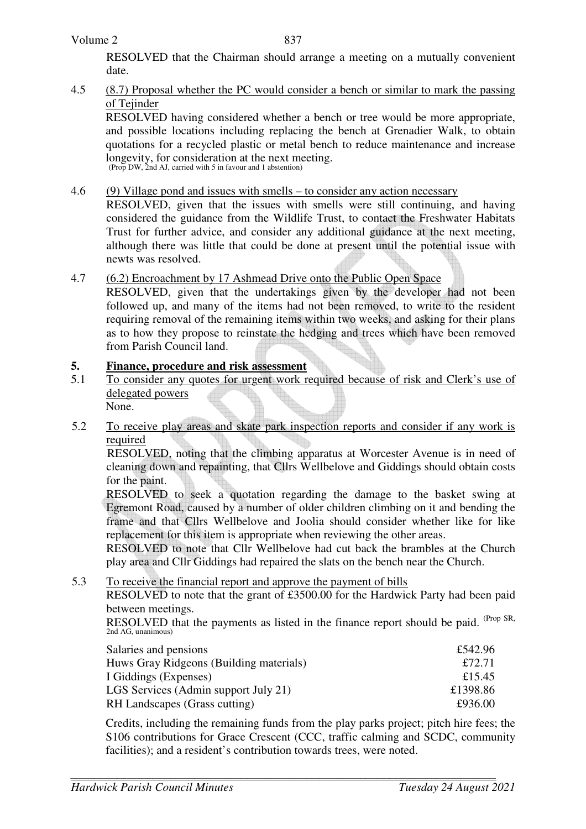RESOLVED that the Chairman should arrange a meeting on a mutually convenient date.

## 4.5 (8.7) Proposal whether the PC would consider a bench or similar to mark the passing of Teiinder

 RESOLVED having considered whether a bench or tree would be more appropriate, and possible locations including replacing the bench at Grenadier Walk, to obtain quotations for a recycled plastic or metal bench to reduce maintenance and increase longevity, for consideration at the next meeting. (Prop DW, 2nd AJ, carried with 5 in favour and 1 abstention)

## 4.6 (9) Village pond and issues with smells – to consider any action necessary

RESOLVED, given that the issues with smells were still continuing, and having considered the guidance from the Wildlife Trust, to contact the Freshwater Habitats Trust for further advice, and consider any additional guidance at the next meeting, although there was little that could be done at present until the potential issue with newts was resolved.

## 4.7 (6.2) Encroachment by 17 Ashmead Drive onto the Public Open Space

RESOLVED, given that the undertakings given by the developer had not been followed up, and many of the items had not been removed, to write to the resident requiring removal of the remaining items within two weeks, and asking for their plans as to how they propose to reinstate the hedging and trees which have been removed from Parish Council land.

### **5. Finance, procedure and risk assessment**

- 5.1 To consider any quotes for urgent work required because of risk and Clerk's use of delegated powers None.
- 5.2 To receive play areas and skate park inspection reports and consider if any work is required

RESOLVED, noting that the climbing apparatus at Worcester Avenue is in need of cleaning down and repainting, that Cllrs Wellbelove and Giddings should obtain costs for the paint.

RESOLVED to seek a quotation regarding the damage to the basket swing at Egremont Road, caused by a number of older children climbing on it and bending the frame and that Cllrs Wellbelove and Joolia should consider whether like for like replacement for this item is appropriate when reviewing the other areas.

RESOLVED to note that Cllr Wellbelove had cut back the brambles at the Church play area and Cllr Giddings had repaired the slats on the bench near the Church.

5.3 To receive the financial report and approve the payment of bills

RESOLVED to note that the grant of £3500.00 for the Hardwick Party had been paid between meetings.

RESOLVED that the payments as listed in the finance report should be paid. (Prop SR, 2nd AG, unanimous)

| Salaries and pensions                   | £542.96  |
|-----------------------------------------|----------|
| Huws Gray Ridgeons (Building materials) | £72.71   |
| I Giddings (Expenses)                   | £15.45   |
| LGS Services (Admin support July 21)    | £1398.86 |
| RH Landscapes (Grass cutting)           | £936.00  |

Credits, including the remaining funds from the play parks project; pitch hire fees; the S106 contributions for Grace Crescent (CCC, traffic calming and SCDC, community facilities); and a resident's contribution towards trees, were noted.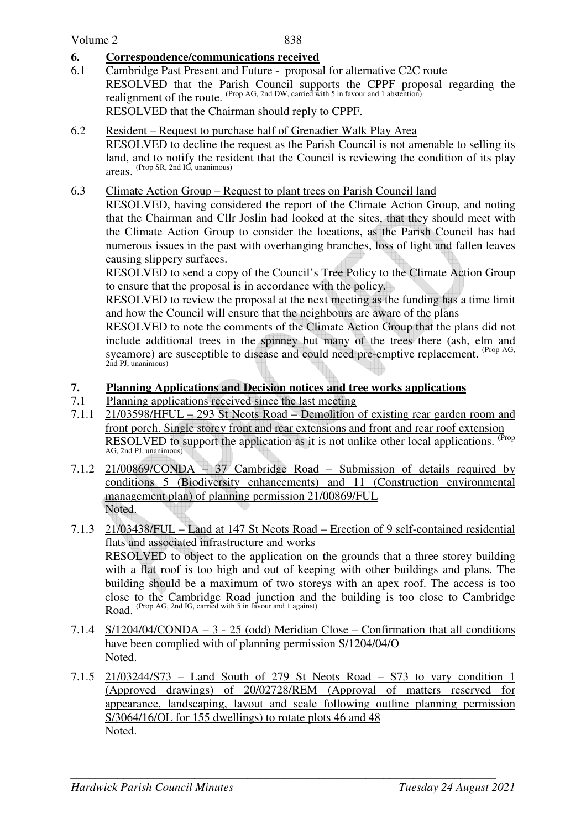### **6. Correspondence/communications received**

6.1 Cambridge Past Present and Future - proposal for alternative C2C route RESOLVED that the Parish Council supports the CPPF proposal regarding the realignment of the route. (Prop AG, 2nd DW, carried with 5 in favour and 1 abstention) RESOLVED that the Chairman should reply to CPPF.

#### 6.2 Resident – Request to purchase half of Grenadier Walk Play Area

 RESOLVED to decline the request as the Parish Council is not amenable to selling its land, and to notify the resident that the Council is reviewing the condition of its play areas. (Prop SR, 2nd IG, unanimous)

#### 6.3 Climate Action Group – Request to plant trees on Parish Council land

 RESOLVED, having considered the report of the Climate Action Group, and noting that the Chairman and Cllr Joslin had looked at the sites, that they should meet with the Climate Action Group to consider the locations, as the Parish Council has had numerous issues in the past with overhanging branches, loss of light and fallen leaves causing slippery surfaces.

 RESOLVED to send a copy of the Council's Tree Policy to the Climate Action Group to ensure that the proposal is in accordance with the policy.

RESOLVED to review the proposal at the next meeting as the funding has a time limit and how the Council will ensure that the neighbours are aware of the plans

RESOLVED to note the comments of the Climate Action Group that the plans did not include additional trees in the spinney but many of the trees there (ash, elm and sycamore) are susceptible to disease and could need pre-emptive replacement. <sup>(Prop AG,</sup> 2nd PJ, unanimous)

## **7. Planning Applications and Decision notices and tree works applications**

- 7.1 Planning applications received since the last meeting
- 7.1.1 21/03598/HFUL 293 St Neots Road Demolition of existing rear garden room and front porch. Single storey front and rear extensions and front and rear roof extension RESOLVED to support the application as it is not unlike other local applications. <sup>(Prop</sup> AG, 2nd PJ, unanimous)
- 7.1.2 21/00869/CONDA 37 Cambridge Road Submission of details required by conditions 5 (Biodiversity enhancements) and 11 (Construction environmental management plan) of planning permission 21/00869/FUL Noted.
- 7.1.3 21/03438/FUL Land at 147 St Neots Road Erection of 9 self-contained residential flats and associated infrastructure and works RESOLVED to object to the application on the grounds that a three storey building with a flat roof is too high and out of keeping with other buildings and plans. The building should be a maximum of two storeys with an apex roof. The access is too close to the Cambridge Road junction and the building is too close to Cambridge Road. (Prop AG, 2nd IG, carried with 5 in favour and 1 against)
- 7.1.4 S/1204/04/CONDA 3 25 (odd) Meridian Close Confirmation that all conditions have been complied with of planning permission S/1204/04/O Noted.
- 7.1.5 21/03244/S73 Land South of 279 St Neots Road S73 to vary condition 1 (Approved drawings) of 20/02728/REM (Approval of matters reserved for appearance, landscaping, layout and scale following outline planning permission S/3064/16/OL for 155 dwellings) to rotate plots 46 and 48 Noted.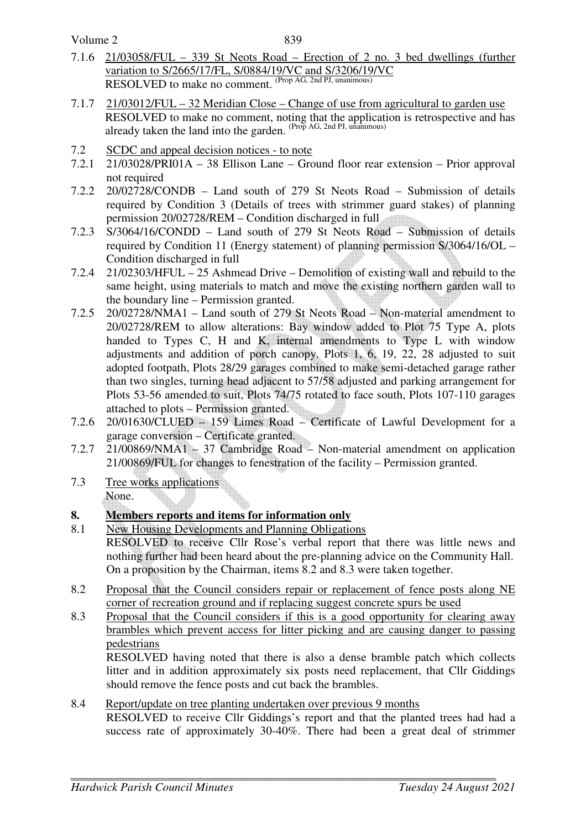Volume 2

- 7.1.6 21/03058/FUL 339 St Neots Road Erection of 2 no. 3 bed dwellings (further variation to S/2665/17/FL, S/0884/19/VC and S/3206/19/VC RESOLVED to make no comment. (Prop AG, 2nd PJ, unanimous)
- 7.1.7 21/03012/FUL  $-32$  Meridian Close Change of use from agricultural to garden use RESOLVED to make no comment, noting that the application is retrospective and has already taken the land into the garden.  $(Prop AG, 2nd PI,  $uninimes$ )$
- 7.2 SCDC and appeal decision notices to note
- 7.2.1 21/03028/PRI01A 38 Ellison Lane Ground floor rear extension Prior approval not required
- 7.2.2 20/02728/CONDB Land south of 279 St Neots Road Submission of details required by Condition 3 (Details of trees with strimmer guard stakes) of planning permission 20/02728/REM – Condition discharged in full
- 7.2.3 S/3064/16/CONDD Land south of 279 St Neots Road Submission of details required by Condition 11 (Energy statement) of planning permission S/3064/16/OL – Condition discharged in full
- 7.2.4 21/02303/HFUL 25 Ashmead Drive Demolition of existing wall and rebuild to the same height, using materials to match and move the existing northern garden wall to the boundary line – Permission granted.
- 7.2.5 20/02728/NMA1 Land south of 279 St Neots Road Non-material amendment to 20/02728/REM to allow alterations: Bay window added to Plot 75 Type A, plots handed to Types C, H and K, internal amendments to Type L with window adjustments and addition of porch canopy. Plots 1, 6, 19, 22, 28 adjusted to suit adopted footpath, Plots 28/29 garages combined to make semi-detached garage rather than two singles, turning head adjacent to 57/58 adjusted and parking arrangement for Plots 53-56 amended to suit, Plots 74/75 rotated to face south, Plots 107-110 garages attached to plots – Permission granted.
- 7.2.6 20/01630/CLUED 159 Limes Road Certificate of Lawful Development for a garage conversion – Certificate granted.
- 7.2.7 21/00869/NMA1 37 Cambridge Road Non-material amendment on application 21/00869/FUL for changes to fenestration of the facility – Permission granted.
- 7.3 Tree works applications None.
- **8. Members reports and items for information only**
- 8.1 New Housing Developments and Planning Obligations RESOLVED to receive Cllr Rose's verbal report that there was little news and nothing further had been heard about the pre-planning advice on the Community Hall. On a proposition by the Chairman, items 8.2 and 8.3 were taken together.
- 8.2 Proposal that the Council considers repair or replacement of fence posts along NE corner of recreation ground and if replacing suggest concrete spurs be used
- 8.3 Proposal that the Council considers if this is a good opportunity for clearing away brambles which prevent access for litter picking and are causing danger to passing pedestrians

 RESOLVED having noted that there is also a dense bramble patch which collects litter and in addition approximately six posts need replacement, that Cllr Giddings should remove the fence posts and cut back the brambles.

#### 8.4 Report/update on tree planting undertaken over previous 9 months RESOLVED to receive Cllr Giddings's report and that the planted trees had had a success rate of approximately 30-40%. There had been a great deal of strimmer